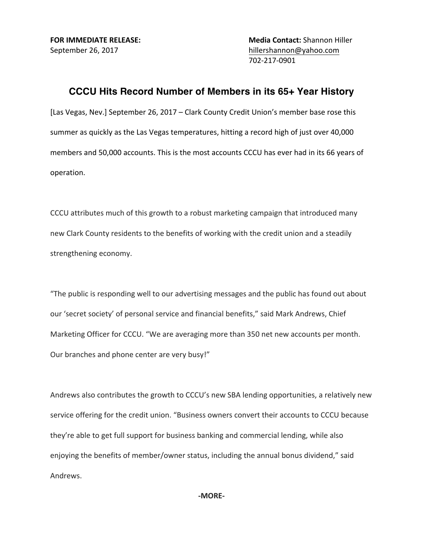**FOR IMMEDIATE RELEASE: Media Contact:** Shannon Hiller September 26, 2017 hillershannon@yahoo.com 702-217-0901

## **CCCU Hits Record Number of Members in its 65+ Year History**

[Las Vegas, Nev.] September 26, 2017 – Clark County Credit Union's member base rose this summer as quickly as the Las Vegas temperatures, hitting a record high of just over 40,000 members and 50,000 accounts. This is the most accounts CCCU has ever had in its 66 years of operation.

CCCU attributes much of this growth to a robust marketing campaign that introduced many new Clark County residents to the benefits of working with the credit union and a steadily strengthening economy.

"The public is responding well to our advertising messages and the public has found out about our 'secret society' of personal service and financial benefits," said Mark Andrews, Chief Marketing Officer for CCCU. "We are averaging more than 350 net new accounts per month. Our branches and phone center are very busy!"

Andrews also contributes the growth to CCCU's new SBA lending opportunities, a relatively new service offering for the credit union. "Business owners convert their accounts to CCCU because they're able to get full support for business banking and commercial lending, while also enjoying the benefits of member/owner status, including the annual bonus dividend," said Andrews.

**-MORE-**